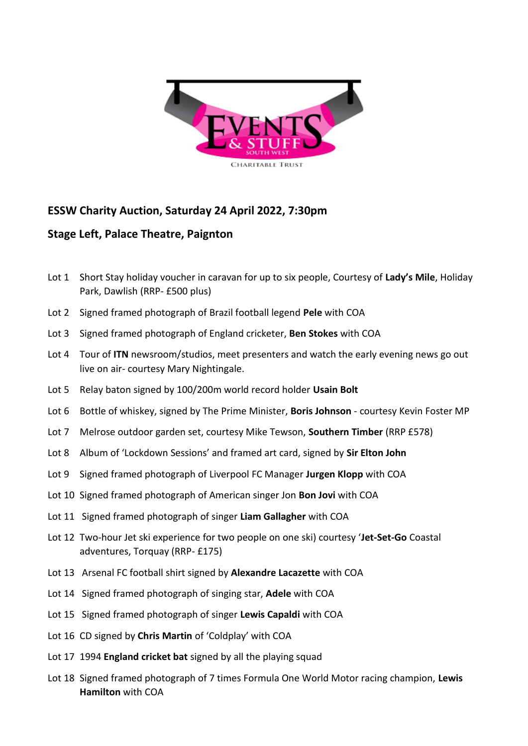

## **ESSW Charity Auction, Saturday 24 April 2022, 7:30pm**

## **Stage Left, Palace Theatre, Paignton**

- Lot 1 Short Stay holiday voucher in caravan for up to six people, Courtesy of **Lady's Mile**, Holiday Park, Dawlish (RRP- £500 plus)
- Lot 2 Signed framed photograph of Brazil football legend **Pele** with COA
- Lot 3 Signed framed photograph of England cricketer, **Ben Stokes** with COA
- Lot 4 Tour of **ITN** newsroom/studios, meet presenters and watch the early evening news go out live on air- courtesy Mary Nightingale.
- Lot 5 Relay baton signed by 100/200m world record holder **Usain Bolt**
- Lot 6 Bottle of whiskey, signed by The Prime Minister, **Boris Johnson** courtesy Kevin Foster MP
- Lot 7 Melrose outdoor garden set, courtesy Mike Tewson, **Southern Timber** (RRP £578)
- Lot 8 Album of 'Lockdown Sessions' and framed art card, signed by **Sir Elton John**
- Lot 9 Signed framed photograph of Liverpool FC Manager **Jurgen Klopp** with COA
- Lot 10 Signed framed photograph of American singer Jon **Bon Jovi** with COA
- Lot 11 Signed framed photograph of singer **Liam Gallagher** with COA
- Lot 12 Two-hour Jet ski experience for two people on one ski) courtesy '**Jet-Set-Go** Coastal adventures, Torquay (RRP- £175)
- Lot 13 Arsenal FC football shirt signed by **Alexandre Lacazette** with COA
- Lot 14 Signed framed photograph of singing star, **Adele** with COA
- Lot 15 Signed framed photograph of singer **Lewis Capaldi** with COA
- Lot 16 CD signed by **Chris Martin** of 'Coldplay' with COA
- Lot 17 1994 **England cricket bat** signed by all the playing squad
- Lot 18 Signed framed photograph of 7 times Formula One World Motor racing champion, **Lewis Hamilton** with COA